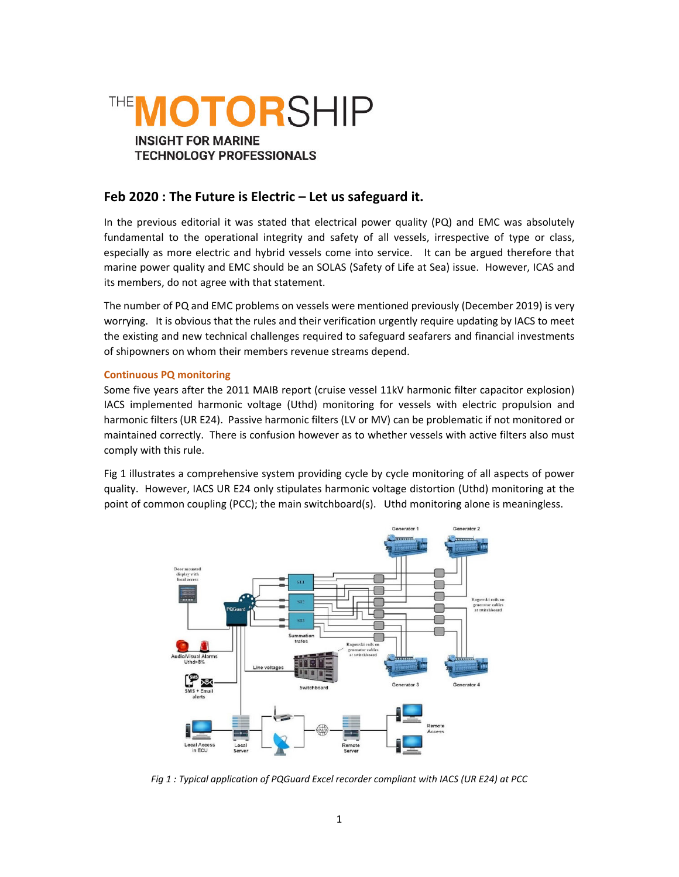

# **Feb 2020 : The Future is Electric – Let us safeguard it.**

In the previous editorial it was stated that electrical power quality (PQ) and EMC was absolutely fundamental to the operational integrity and safety of all vessels, irrespective of type or class, especially as more electric and hybrid vessels come into service. It can be argued therefore that marine power quality and EMC should be an SOLAS (Safety of Life at Sea) issue. However, ICAS and its members, do not agree with that statement.

The number of PQ and EMC problems on vessels were mentioned previously (December 2019) is very worrying. It is obvious that the rules and their verification urgently require updating by IACS to meet the existing and new technical challenges required to safeguard seafarers and financial investments of shipowners on whom their members revenue streams depend.

## **Continuous PQ monitoring**

Some five years after the 2011 MAIB report (cruise vessel 11kV harmonic filter capacitor explosion) IACS implemented harmonic voltage (Uthd) monitoring for vessels with electric propulsion and harmonic filters (UR E24). Passive harmonic filters (LV or MV) can be problematic if not monitored or maintained correctly. There is confusion however as to whether vessels with active filters also must comply with this rule.

Fig 1 illustrates a comprehensive system providing cycle by cycle monitoring of all aspects of power quality. However, IACS UR E24 only stipulates harmonic voltage distortion (Uthd) monitoring at the point of common coupling (PCC); the main switchboard(s). Uthd monitoring alone is meaningless.



*Fig 1 : Typical application of PQGuard Excel recorder compliant with IACS (UR E24) at PCC*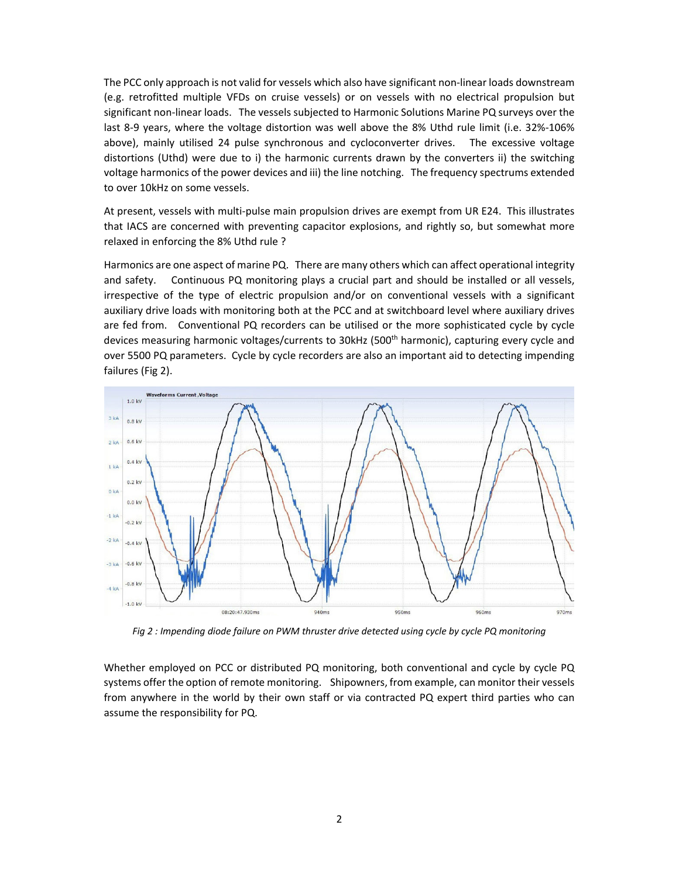The PCC only approach is not valid for vessels which also have significant non‐linear loads downstream (e.g. retrofitted multiple VFDs on cruise vessels) or on vessels with no electrical propulsion but significant non-linear loads. The vessels subjected to Harmonic Solutions Marine PQ surveys over the last 8‐9 years, where the voltage distortion was well above the 8% Uthd rule limit (i.e. 32%‐106% above), mainly utilised 24 pulse synchronous and cycloconverter drives. The excessive voltage distortions (Uthd) were due to i) the harmonic currents drawn by the converters ii) the switching voltage harmonics of the power devices and iii) the line notching. The frequency spectrums extended to over 10kHz on some vessels.

At present, vessels with multi-pulse main propulsion drives are exempt from UR E24. This illustrates that IACS are concerned with preventing capacitor explosions, and rightly so, but somewhat more relaxed in enforcing the 8% Uthd rule ?

Harmonics are one aspect of marine PQ. There are many others which can affect operational integrity and safety. Continuous PQ monitoring plays a crucial part and should be installed or all vessels, irrespective of the type of electric propulsion and/or on conventional vessels with a significant auxiliary drive loads with monitoring both at the PCC and at switchboard level where auxiliary drives are fed from. Conventional PQ recorders can be utilised or the more sophisticated cycle by cycle devices measuring harmonic voltages/currents to 30kHz (500<sup>th</sup> harmonic), capturing every cycle and over 5500 PQ parameters. Cycle by cycle recorders are also an important aid to detecting impending failures (Fig 2).



Fig 2 : Impending diode failure on PWM thruster drive detected using cycle by cycle PQ monitoring

Whether employed on PCC or distributed PQ monitoring, both conventional and cycle by cycle PQ systems offer the option of remote monitoring. Shipowners, from example, can monitor their vessels from anywhere in the world by their own staff or via contracted PQ expert third parties who can assume the responsibility for PQ.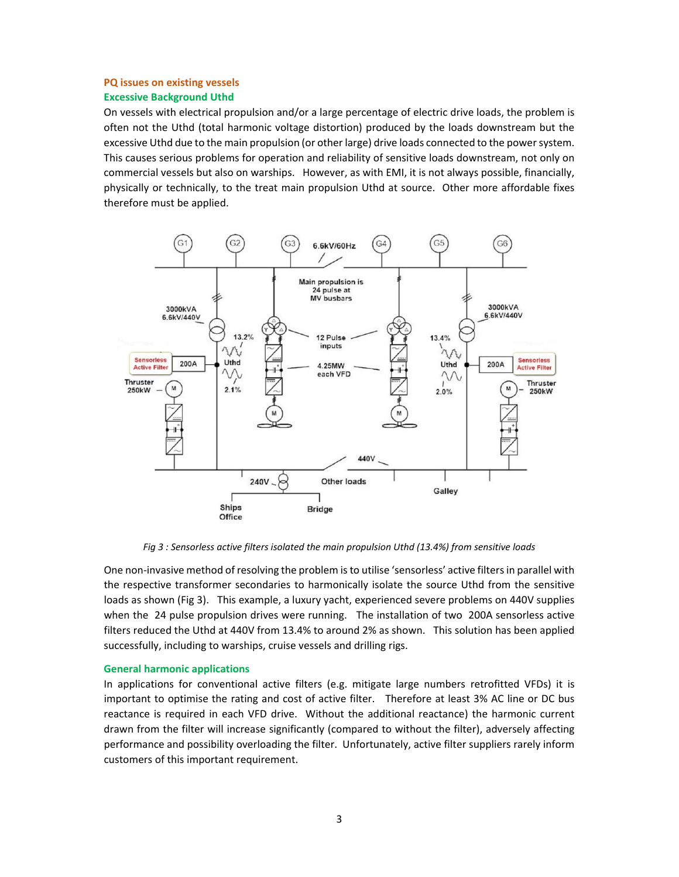## **PQ issues on existing vessels**

## **Excessive Background Uthd**

On vessels with electrical propulsion and/or a large percentage of electric drive loads, the problem is often not the Uthd (total harmonic voltage distortion) produced by the loads downstream but the excessive Uthd due to the main propulsion (or other large) drive loads connected to the powersystem. This causes serious problems for operation and reliability of sensitive loads downstream, not only on commercial vessels but also on warships. However, as with EMI, it is not always possible, financially, physically or technically, to the treat main propulsion Uthd at source. Other more affordable fixes therefore must be applied.



*Fig 3 : Sensorless active filters isolated the main propulsion Uthd (13.4%) from sensitive loads*

One non-invasive method of resolving the problem is to utilise 'sensorless' active filters in parallel with the respective transformer secondaries to harmonically isolate the source Uthd from the sensitive loads as shown (Fig 3). This example, a luxury yacht, experienced severe problems on 440V supplies when the 24 pulse propulsion drives were running. The installation of two 200A sensorless active filters reduced the Uthd at 440V from 13.4% to around 2% as shown. This solution has been applied successfully, including to warships, cruise vessels and drilling rigs.

## **General harmonic applications**

In applications for conventional active filters (e.g. mitigate large numbers retrofitted VFDs) it is important to optimise the rating and cost of active filter. Therefore at least 3% AC line or DC bus reactance is required in each VFD drive. Without the additional reactance) the harmonic current drawn from the filter will increase significantly (compared to without the filter), adversely affecting performance and possibility overloading the filter. Unfortunately, active filter suppliers rarely inform customers of this important requirement.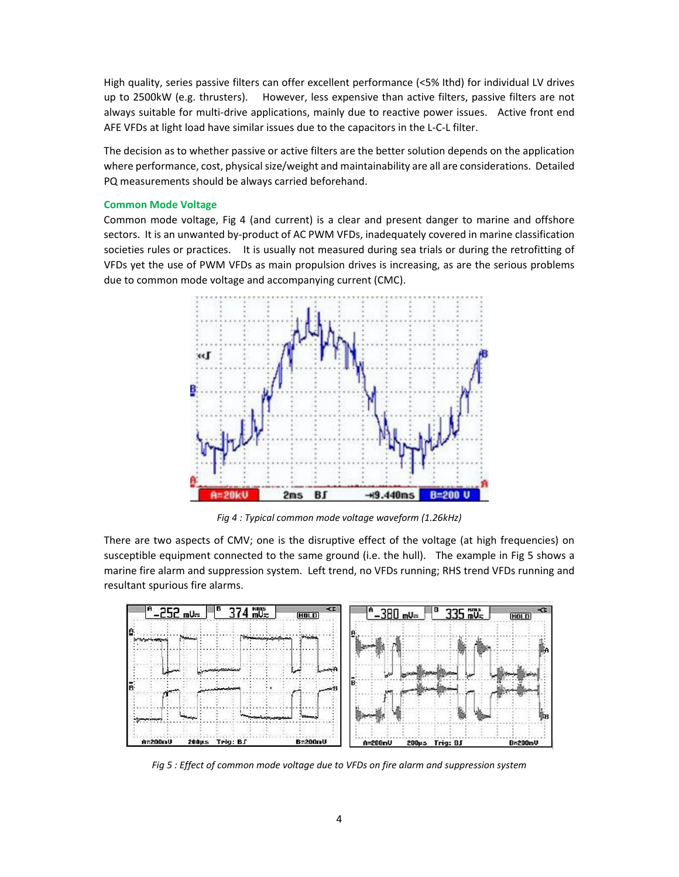High quality, series passive filters can offer excellent performance (<5% Ithd) for individual LV drives up to 2500kW (e.g. thrusters). However, less expensive than active filters, passive filters are not always suitable for multi-drive applications, mainly due to reactive power issues. Active front end AFE VFDs at light load have similar issues due to the capacitors in the L‐C‐L filter.

The decision as to whether passive or active filters are the better solution depends on the application where performance, cost, physical size/weight and maintainability are all are considerations. Detailed PQ measurements should be always carried beforehand.

#### **Common Mode Voltage**

Common mode voltage, Fig 4 (and current) is a clear and present danger to marine and offshore sectors. It is an unwanted by-product of AC PWM VFDs, inadequately covered in marine classification societies rules or practices. It is usually not measured during sea trials or during the retrofitting of VFDs yet the use of PWM VFDs as main propulsion drives is increasing, as are the serious problems due to common mode voltage and accompanying current (CMC).



*Fig 4 : Typical common mode voltage waveform (1.26kHz)*

There are two aspects of CMV; one is the disruptive effect of the voltage (at high frequencies) on susceptible equipment connected to the same ground (i.e. the hull). The example in Fig 5 shows a marine fire alarm and suppression system. Left trend, no VFDs running; RHS trend VFDs running and resultant spurious fire alarms.



*Fig 5 : Effect of common mode voltage due to VFDs on fire alarm and suppression system*